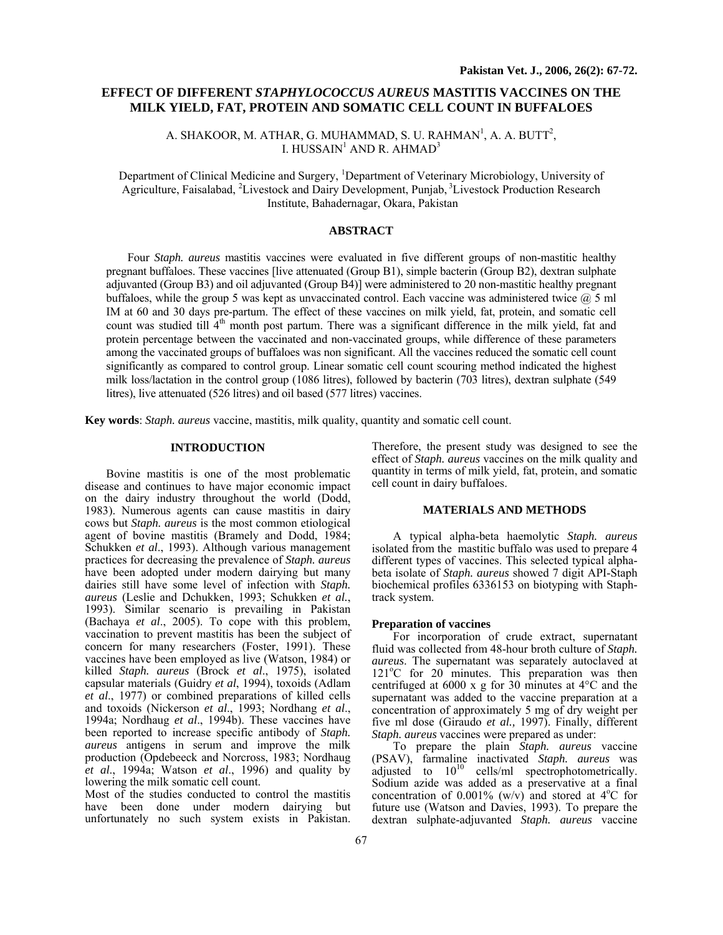# **EFFECT OF DIFFERENT** *STAPHYLOCOCCUS AUREUS* **MASTITIS VACCINES ON THE MILK YIELD, FAT, PROTEIN AND SOMATIC CELL COUNT IN BUFFALOES**

A. SHAKOOR, M. ATHAR, G. MUHAMMAD, S. U. RAHMAN<sup>1</sup>, A. A. BUTT<sup>2</sup>, I. HUSSAIN<sup>1</sup> AND R. AHMAD<sup>3</sup>

Department of Clinical Medicine and Surgery, <sup>1</sup>Department of Veterinary Microbiology, University of Agriculture, Faisalabad, <sup>2</sup>Livestock and Dairy Development, Punjab, <sup>3</sup>Livestock Production Research Institute, Bahadernagar, Okara, Pakistan

## **ABSTRACT**

Four *Staph. aureus* mastitis vaccines were evaluated in five different groups of non-mastitic healthy pregnant buffaloes. These vaccines [live attenuated (Group B1), simple bacterin (Group B2), dextran sulphate adjuvanted (Group B3) and oil adjuvanted (Group B4)] were administered to 20 non-mastitic healthy pregnant buffaloes, while the group 5 was kept as unvaccinated control. Each vaccine was administered twice  $(a)$  5 ml IM at 60 and 30 days pre-partum. The effect of these vaccines on milk yield, fat, protein, and somatic cell count was studied till  $4<sup>th</sup>$  month post partum. There was a significant difference in the milk yield, fat and protein percentage between the vaccinated and non-vaccinated groups, while difference of these parameters among the vaccinated groups of buffaloes was non significant. All the vaccines reduced the somatic cell count significantly as compared to control group. Linear somatic cell count scouring method indicated the highest milk loss/lactation in the control group (1086 litres), followed by bacterin (703 litres), dextran sulphate (549 litres), live attenuated (526 litres) and oil based (577 litres) vaccines.

**Key words**: *Staph. aureus* vaccine, mastitis, milk quality, quantity and somatic cell count.

# **INTRODUCTION**

Bovine mastitis is one of the most problematic disease and continues to have major economic impact on the dairy industry throughout the world (Dodd, 1983). Numerous agents can cause mastitis in dairy cows but *Staph. aureus* is the most common etiological agent of bovine mastitis (Bramely and Dodd, 1984; Schukken *et al*., 1993). Although various management practices for decreasing the prevalence of *Staph. aureus* have been adopted under modern dairying but many dairies still have some level of infection with *Staph. aureus* (Leslie and Dchukken, 1993; Schukken *et al.*, 1993). Similar scenario is prevailing in Pakistan (Bachaya *et al*., 2005). To cope with this problem, vaccination to prevent mastitis has been the subject of concern for many researchers (Foster, 1991). These vaccines have been employed as live (Watson, 1984) or killed *Staph. aureus* (Brock *et al*., 1975), isolated capsular materials (Guidry *et al*, 1994), toxoids (Adlam *et al*., 1977) or combined preparations of killed cells and toxoids (Nickerson *et al*., 1993; Nordhang *et al*., 1994a; Nordhaug *et al*., 1994b). These vaccines have been reported to increase specific antibody of *Staph. aureus* antigens in serum and improve the milk production (Opdebeeck and Norcross, 1983; Nordhaug *et al*., 1994a; Watson *et al*., 1996) and quality by lowering the milk somatic cell count.

Most of the studies conducted to control the mastitis have been done under modern dairying but unfortunately no such system exists in Pakistan.

Therefore, the present study was designed to see the effect of *Staph. aureus* vaccines on the milk quality and quantity in terms of milk yield, fat, protein, and somatic cell count in dairy buffaloes.

#### **MATERIALS AND METHODS**

A typical alpha-beta haemolytic *Staph. aureus* isolated from the mastitic buffalo was used to prepare 4 different types of vaccines. This selected typical alphabeta isolate of *Staph. aureus* showed 7 digit API-Staph biochemical profiles 6336153 on biotyping with Staphtrack system.

#### **Preparation of vaccines**

For incorporation of crude extract, supernatant fluid was collected from 48-hour broth culture of *Staph. aureus*. The supernatant was separately autoclaved at  $121^{\circ}$ C for  $20^{\circ}$  minutes. This preparation was then centrifuged at 6000 x g for 30 minutes at 4°C and the supernatant was added to the vaccine preparation at a concentration of approximately 5 mg of dry weight per five ml dose (Giraudo *et al.,* 1997). Finally, different *Staph. aureus* vaccines were prepared as under:

To prepare the plain *Staph. aureus* vaccine (PSAV), farmaline inactivated *Staph. aureus* was adjusted to  $10^{10}$  cells/ml spectrophotometrically. Sodium azide was added as a preservative at a final concentration of 0.001% (w/v) and stored at  $4^{\circ}$ C for future use (Watson and Davies, 1993). To prepare the dextran sulphate-adjuvanted *Staph. aureus* vaccine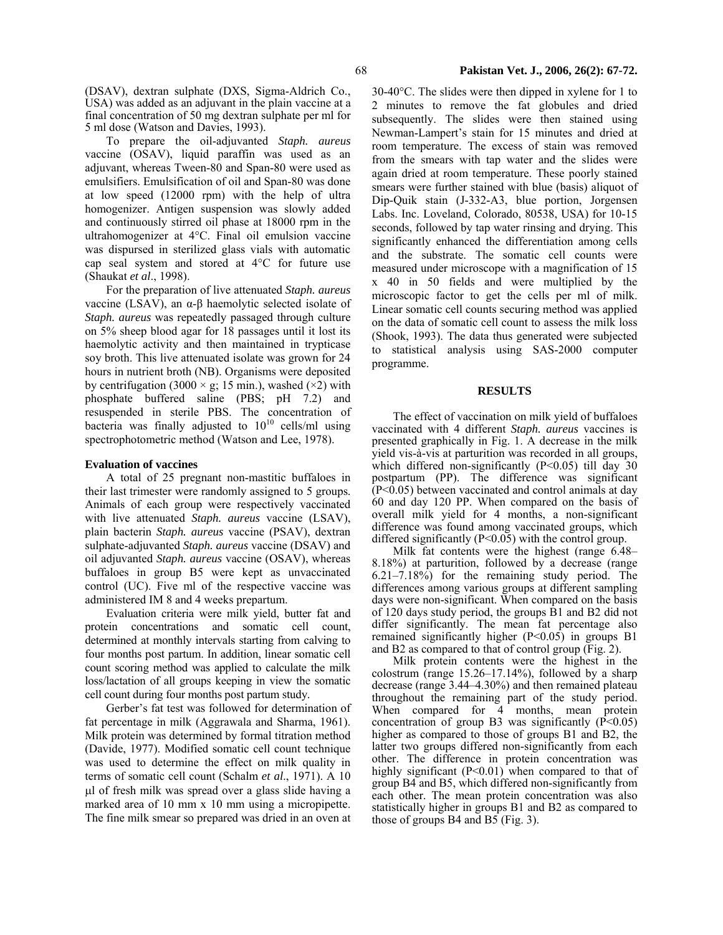(DSAV), dextran sulphate (DXS, Sigma-Aldrich Co., USA) was added as an adjuvant in the plain vaccine at a final concentration of 50 mg dextran sulphate per ml for 5 ml dose (Watson and Davies, 1993).

To prepare the oil-adjuvanted *Staph. aureus* vaccine (OSAV), liquid paraffin was used as an adjuvant, whereas Tween-80 and Span-80 were used as emulsifiers. Emulsification of oil and Span-80 was done at low speed (12000 rpm) with the help of ultra homogenizer. Antigen suspension was slowly added and continuously stirred oil phase at 18000 rpm in the ultrahomogenizer at 4°C. Final oil emulsion vaccine was dispursed in sterilized glass vials with automatic cap seal system and stored at 4°C for future use (Shaukat *et al*., 1998).

For the preparation of live attenuated *Staph. aureus* vaccine (LSAV), an α-β haemolytic selected isolate of *Staph. aureus* was repeatedly passaged through culture on 5% sheep blood agar for 18 passages until it lost its haemolytic activity and then maintained in trypticase soy broth. This live attenuated isolate was grown for 24 hours in nutrient broth (NB). Organisms were deposited by centrifugation (3000  $\times$  g; 15 min.), washed ( $\times$ 2) with phosphate buffered saline (PBS; pH 7.2) and resuspended in sterile PBS. The concentration of bacteria was finally adjusted to  $10^{10}$  cells/ml using spectrophotometric method (Watson and Lee, 1978).

#### **Evaluation of vaccines**

A total of 25 pregnant non-mastitic buffaloes in their last trimester were randomly assigned to 5 groups. Animals of each group were respectively vaccinated with live attenuated *Staph. aureus* vaccine (LSAV), plain bacterin *Staph. aureus* vaccine (PSAV), dextran sulphate-adjuvanted *Staph. aureus* vaccine (DSAV) and oil adjuvanted *Staph. aureus* vaccine (OSAV), whereas buffaloes in group B5 were kept as unvaccinated control (UC). Five ml of the respective vaccine was administered IM 8 and 4 weeks prepartum.

Evaluation criteria were milk yield, butter fat and protein concentrations and somatic cell count, determined at monthly intervals starting from calving to four months post partum. In addition, linear somatic cell count scoring method was applied to calculate the milk loss/lactation of all groups keeping in view the somatic cell count during four months post partum study.

Gerber's fat test was followed for determination of fat percentage in milk (Aggrawala and Sharma, 1961). Milk protein was determined by formal titration method (Davide, 1977). Modified somatic cell count technique was used to determine the effect on milk quality in terms of somatic cell count (Schalm *et al*., 1971). A 10 µl of fresh milk was spread over a glass slide having a marked area of 10 mm x 10 mm using a micropipette. The fine milk smear so prepared was dried in an oven at

30-40°C. The slides were then dipped in xylene for 1 to 2 minutes to remove the fat globules and dried subsequently. The slides were then stained using Newman-Lampert's stain for 15 minutes and dried at room temperature. The excess of stain was removed from the smears with tap water and the slides were again dried at room temperature. These poorly stained smears were further stained with blue (basis) aliquot of Dip-Quik stain (J-332-A3, blue portion, Jorgensen Labs. Inc. Loveland, Colorado, 80538, USA) for 10-15 seconds, followed by tap water rinsing and drying. This significantly enhanced the differentiation among cells and the substrate. The somatic cell counts were measured under microscope with a magnification of 15 x 40 in 50 fields and were multiplied by the microscopic factor to get the cells per ml of milk. Linear somatic cell counts securing method was applied on the data of somatic cell count to assess the milk loss (Shook, 1993). The data thus generated were subjected to statistical analysis using SAS-2000 computer programme.

### **RESULTS**

The effect of vaccination on milk yield of buffaloes vaccinated with 4 different *Staph. aureus* vaccines is presented graphically in Fig. 1. A decrease in the milk yield vis-à-vis at parturition was recorded in all groups, which differed non-significantly  $(P<0.05)$  till day 30 postpartum (PP). The difference was significant (P<0.05) between vaccinated and control animals at day 60 and day 120 PP. When compared on the basis of overall milk yield for 4 months, a non-significant difference was found among vaccinated groups, which differed significantly  $(P<0.05)$  with the control group.

Milk fat contents were the highest (range 6.48– 8.18%) at parturition, followed by a decrease (range 6.21–7.18%) for the remaining study period. The differences among various groups at different sampling days were non-significant. When compared on the basis of 120 days study period, the groups B1 and B2 did not differ significantly. The mean fat percentage also remained significantly higher (P<0.05) in groups B1 and B2 as compared to that of control group (Fig. 2).

Milk protein contents were the highest in the colostrum (range 15.26–17.14%), followed by a sharp decrease (range 3.44–4.30%) and then remained plateau throughout the remaining part of the study period. When compared for 4 months, mean protein concentration of group B3 was significantly  $(P<0.05)$ higher as compared to those of groups B1 and B2, the latter two groups differed non-significantly from each other. The difference in protein concentration was highly significant (P<0.01) when compared to that of group B4 and B5, which differed non-significantly from each other. The mean protein concentration was also statistically higher in groups B1 and B2 as compared to those of groups  $B4$  and  $B5$  (Fig. 3).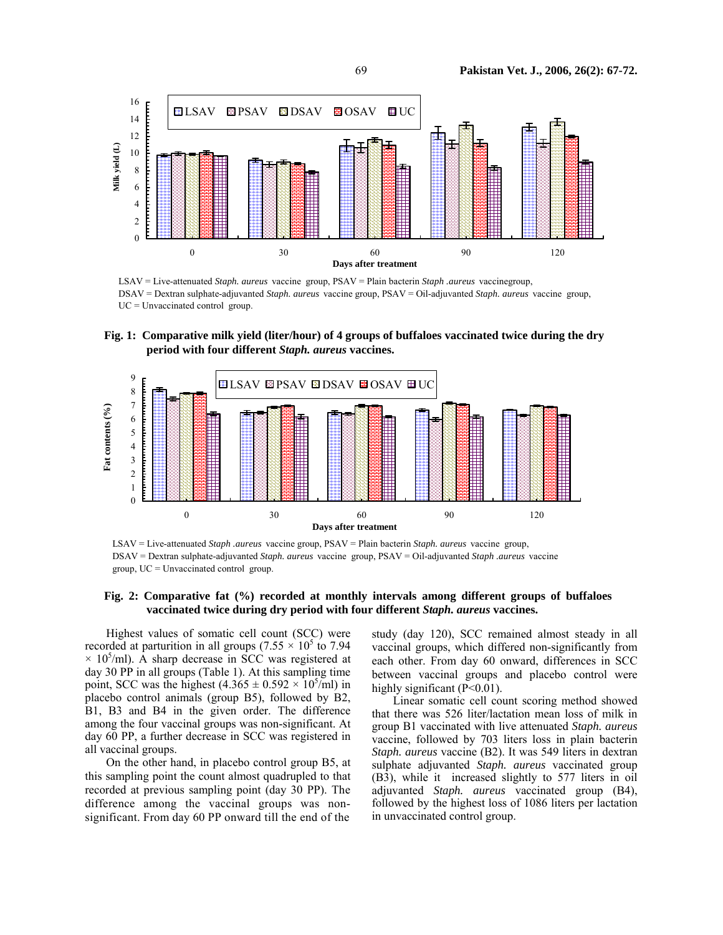

LSAV = Live-attenuated *Staph. aureus* vaccine group, PSAV = Plain bacterin *Staph .aureus* vaccinegroup, DSAV = Dextran sulphate-adjuvanted *Staph. aureus* vaccine group, PSAV = Oil-adjuvanted *Staph. aureus* vaccine group,  $UC = Unvacinated control group$ .

**Fig. 1: Comparative milk yield (liter/hour) of 4 groups of buffaloes vaccinated twice during the dry period with four different** *Staph. aureus* **vaccines.** 



LSAV = Live-attenuated *Staph .aureus* vaccine group, PSAV = Plain bacterin *Staph. aureus* vaccine group, DSAV = Dextran sulphate-adjuvanted *Staph. aureus* vaccine group, PSAV = Oil-adjuvanted *Staph .aureus* vaccine group, UC = Unvaccinated control group.

# **Fig. 2: Comparative fat (%) recorded at monthly intervals among different groups of buffaloes vaccinated twice during dry period with four different** *Staph. aureus* **vaccines.**

Highest values of somatic cell count (SCC) were recorded at parturition in all groups (7.55  $\times$  10<sup>5</sup> to 7.94  $\times$  10<sup>5</sup>/ml). A sharp decrease in SCC was registered at day 30 PP in all groups (Table 1). At this sampling time point, SCC was the highest  $(4.365 \pm 0.592 \times 10^5/\text{m}l)$  in placebo control animals (group B5), followed by B2, B1, B3 and B4 in the given order. The difference among the four vaccinal groups was non-significant. At day 60 PP, a further decrease in SCC was registered in all vaccinal groups.

On the other hand, in placebo control group B5, at this sampling point the count almost quadrupled to that recorded at previous sampling point (day 30 PP). The difference among the vaccinal groups was nonsignificant. From day 60 PP onward till the end of the study (day 120), SCC remained almost steady in all vaccinal groups, which differed non-significantly from each other. From day 60 onward, differences in SCC between vaccinal groups and placebo control were highly significant  $(P<0.01)$ .

Linear somatic cell count scoring method showed that there was 526 liter/lactation mean loss of milk in group B1 vaccinated with live attenuated *Staph. aureus* vaccine, followed by 703 liters loss in plain bacterin *Staph. aureus* vaccine (B2). It was 549 liters in dextran sulphate adjuvanted *Staph. aureus* vaccinated group (B3), while it increased slightly to 577 liters in oil adjuvanted *Staph. aureus* vaccinated group (B4), followed by the highest loss of 1086 liters per lactation in unvaccinated control group.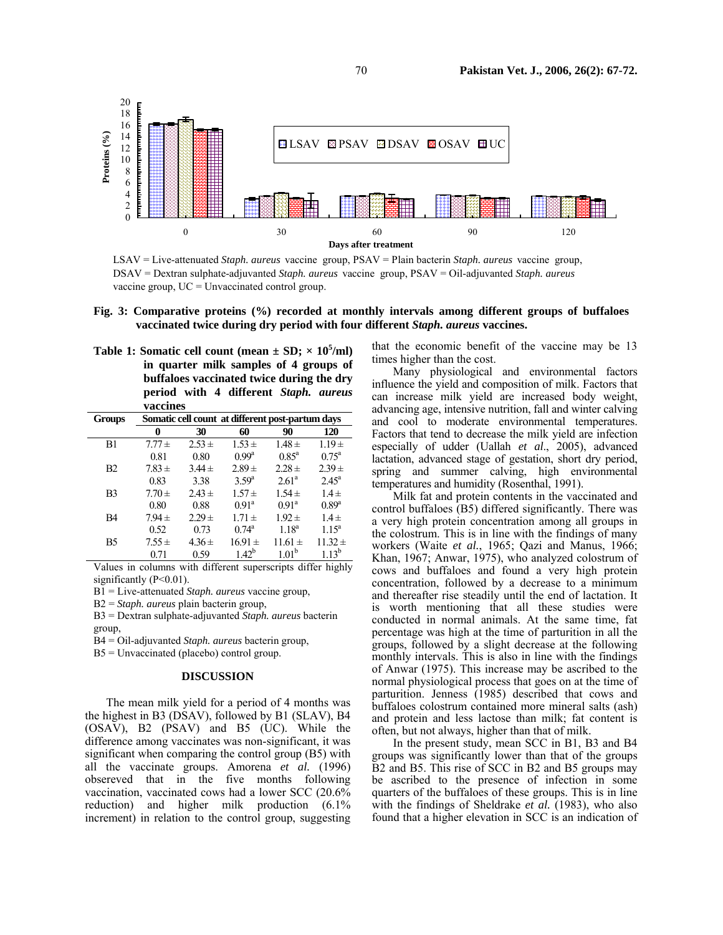

LSAV = Live-attenuated *Staph. aureus* vaccine group, PSAV = Plain bacterin *Staph. aureus* vaccine group, DSAV = Dextran sulphate-adjuvanted *Staph. aureus* vaccine group, PSAV = Oil-adjuvanted *Staph. aureus* vaccine group,  $UC = Unvacinated control group$ .

|                                                                                |  | Fig. 3: Comparative proteins (%) recorded at monthly intervals among different groups of buffaloes |  |  |  |  |  |  |  |  |  |  |  |
|--------------------------------------------------------------------------------|--|----------------------------------------------------------------------------------------------------|--|--|--|--|--|--|--|--|--|--|--|
| vaccinated twice during dry period with four different Staph. aureus vaccines. |  |                                                                                                    |  |  |  |  |  |  |  |  |  |  |  |

**Table 1: Somatic cell count (mean**  $\pm$  **SD;**  $\times$  **10<sup>5</sup>/ml) in quarter milk samples of 4 groups of buffaloes vaccinated twice during the dry period with 4 different** *Staph. aureus*  **vaccines** 

| <b>Groups</b>  |            |            | Somatic cell count at different post-partum days |                   |                |  |  |  |
|----------------|------------|------------|--------------------------------------------------|-------------------|----------------|--|--|--|
|                | 0          | 30         | 60                                               | 90                | 120            |  |  |  |
| B1             | $7.77 \pm$ | $2.53 \pm$ | $1.53 \pm$                                       | $1.48 \pm$        | $1.19 \pm$     |  |  |  |
|                | 0.81       | 0.80       | $0.99^{\rm a}$                                   | $0.85^{\rm a}$    | $0.75^{\rm a}$ |  |  |  |
| B2             | $7.83 \pm$ | $3.44 \pm$ | $2.89 \pm$                                       | $2.28 \pm$        | $2.39 \pm$     |  |  |  |
|                | 0.83       | 3.38       | 3.59 <sup>a</sup>                                | $2.61^{\circ}$    | $2.45^{\circ}$ |  |  |  |
| B <sub>3</sub> | $7.70 \pm$ | $2.43 \pm$ | $1.57 \pm$                                       | $1.54 \pm$        | $1.4 \pm$      |  |  |  |
|                | 0.80       | 0.88       | 0.91 <sup>a</sup>                                | $0.91^{\rm a}$    | $0.89^{\rm a}$ |  |  |  |
| B <sub>4</sub> | $7.94 \pm$ | $2.29 +$   | $1.71 \pm$                                       | $1.92 \pm$        | $1.4 \pm$      |  |  |  |
|                | 0.52       | 0.73       | $0.74^{\rm a}$                                   | $1.18^{a}$        | $1.15^{\rm a}$ |  |  |  |
| B5             | $7.55 \pm$ | $4.36 \pm$ | $16.91 \pm$                                      | $11.61 \pm$       | $11.32 \pm$    |  |  |  |
|                | 0.71       | 0.59       | $1.42^{b}$                                       | 1.01 <sup>b</sup> | $113^b$        |  |  |  |

Values in columns with different superscripts differ highly significantly (P<0.01).

B1 = Live-attenuated *Staph. aureus* vaccine group,

B2 = *Staph. aureus* plain bacterin group,

B3 = Dextran sulphate-adjuvanted *Staph. aureus* bacterin

group,

B4 = Oil-adjuvanted *Staph. aureus* bacterin group,

 $B5 = Unvacinated (placebo) control group.$ 

#### **DISCUSSION**

The mean milk yield for a period of 4 months was the highest in B3 (DSAV), followed by B1 (SLAV), B4 (OSAV), B2 (PSAV) and B5 (UC). While the difference among vaccinates was non-significant, it was significant when comparing the control group (B5) with all the vaccinate groups. Amorena *et al.* (1996) obsereved that in the five months following vaccination, vaccinated cows had a lower SCC (20.6% reduction) and higher milk production (6.1% increment) in relation to the control group, suggesting that the economic benefit of the vaccine may be 13 times higher than the cost.

Many physiological and environmental factors influence the yield and composition of milk. Factors that can increase milk yield are increased body weight, advancing age, intensive nutrition, fall and winter calving and cool to moderate environmental temperatures. Factors that tend to decrease the milk yield are infection especially of udder (Uallah *et al*., 2005), advanced lactation, advanced stage of gestation, short dry period, spring and summer calving, high environmental temperatures and humidity (Rosenthal, 1991).

Milk fat and protein contents in the vaccinated and control buffaloes (B5) differed significantly. There was a very high protein concentration among all groups in the colostrum. This is in line with the findings of many workers (Waite *et al.*, 1965; Qazi and Manus, 1966; Khan, 1967; Anwar, 1975), who analyzed colostrum of cows and buffaloes and found a very high protein concentration, followed by a decrease to a minimum and thereafter rise steadily until the end of lactation. It is worth mentioning that all these studies were conducted in normal animals. At the same time, fat percentage was high at the time of parturition in all the groups, followed by a slight decrease at the following monthly intervals. This is also in line with the findings of Anwar (1975). This increase may be ascribed to the normal physiological process that goes on at the time of parturition. Jenness (1985) described that cows and buffaloes colostrum contained more mineral salts (ash) and protein and less lactose than milk; fat content is often, but not always, higher than that of milk.

In the present study, mean SCC in B1, B3 and B4 groups was significantly lower than that of the groups B2 and B5. This rise of SCC in B2 and B5 groups may be ascribed to the presence of infection in some quarters of the buffaloes of these groups. This is in line with the findings of Sheldrake *et al.* (1983), who also found that a higher elevation in SCC is an indication of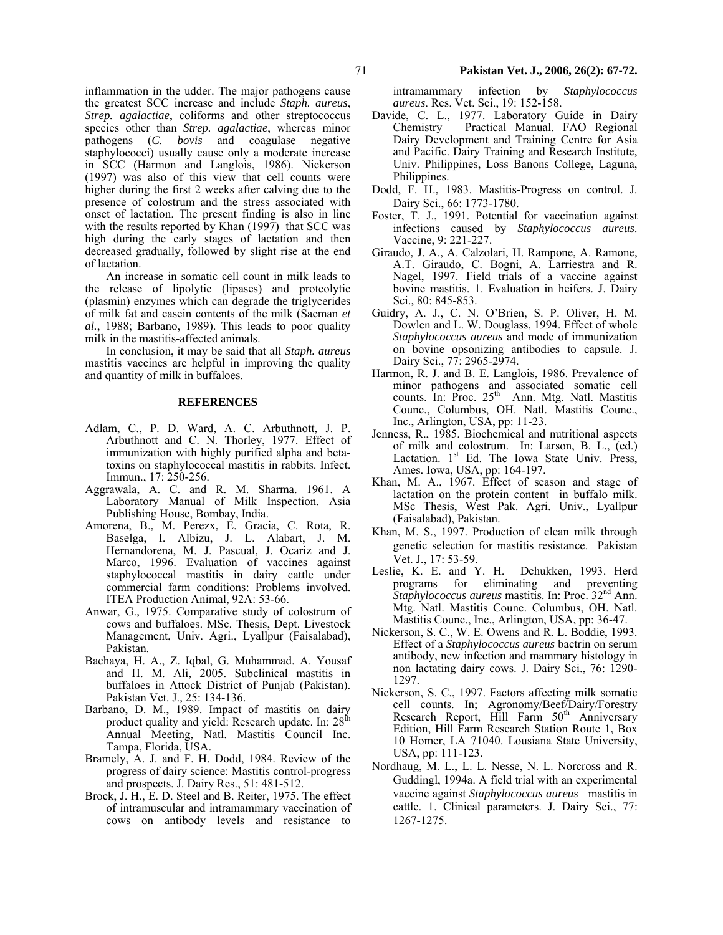inflammation in the udder. The major pathogens cause the greatest SCC increase and include *Staph. aureus*, *Strep. agalactiae*, coliforms and other streptococcus species other than *Strep. agalactiae*, whereas minor pathogens (*C. bovis* and coagulase negative staphylococci) usually cause only a moderate increase in SCC (Harmon and Langlois, 1986). Nickerson (1997) was also of this view that cell counts were higher during the first 2 weeks after calving due to the presence of colostrum and the stress associated with onset of lactation. The present finding is also in line with the results reported by Khan (1997) that SCC was high during the early stages of lactation and then decreased gradually, followed by slight rise at the end of lactation.

An increase in somatic cell count in milk leads to the release of lipolytic (lipases) and proteolytic (plasmin) enzymes which can degrade the triglycerides of milk fat and casein contents of the milk (Saeman *et al.*, 1988; Barbano, 1989). This leads to poor quality milk in the mastitis-affected animals.

In conclusion, it may be said that all *Staph. aureus* mastitis vaccines are helpful in improving the quality and quantity of milk in buffaloes.

#### **REFERENCES**

- Adlam, C., P. D. Ward, A. C. Arbuthnott, J. P. Arbuthnott and C. N. Thorley, 1977. Effect of immunization with highly purified alpha and betatoxins on staphylococcal mastitis in rabbits. Infect. Immun., 17: 250-256.
- Aggrawala, A. C. and R. M. Sharma. 1961. A Laboratory Manual of Milk Inspection. Asia Publishing House, Bombay, India.
- Amorena, B., M. Perezx, E. Gracia, C. Rota, R. Baselga, I. Albizu, J. L. Alabart, J. M. Hernandorena, M. J. Pascual, J. Ocariz and J. Marco, 1996. Evaluation of vaccines against staphylococcal mastitis in dairy cattle under commercial farm conditions: Problems involved. ITEA Production Animal, 92A: 53-66.
- Anwar, G., 1975. Comparative study of colostrum of cows and buffaloes. MSc. Thesis, Dept. Livestock Management, Univ. Agri., Lyallpur (Faisalabad), Pakistan.
- Bachaya, H. A., Z. Iqbal, G. Muhammad. A. Yousaf and H. M. Ali, 2005. Subclinical mastitis in buffaloes in Attock District of Punjab (Pakistan). Pakistan Vet. J., 25: 134-136.
- Barbano, D. M., 1989. Impact of mastitis on dairy product quality and yield: Research update. In:  $28<sup>th</sup>$ Annual Meeting, Natl. Mastitis Council Inc. Tampa, Florida, USA.
- Bramely, A. J. and F. H. Dodd, 1984. Review of the progress of dairy science: Mastitis control-progress and prospects. J. Dairy Res., 51: 481-512.
- Brock, J. H., E. D. Steel and B. Reiter, 1975. The effect of intramuscular and intramammary vaccination of cows on antibody levels and resistance to

intramammary infection by *Staphylococcus aureus*. Res. Vet. Sci., 19: 152-158.

- Davide, C. L., 1977. Laboratory Guide in Dairy Chemistry – Practical Manual. FAO Regional Dairy Development and Training Centre for Asia and Pacific. Dairy Training and Research Institute, Univ. Philippines, Loss Banons College, Laguna, Philippines.
- Dodd, F. H., 1983. Mastitis-Progress on control. J. Dairy Sci., 66: 1773-1780.
- Foster, T. J., 1991. Potential for vaccination against infections caused by *Staphylococcus aureus*. Vaccine, 9: 221-227.
- Giraudo, J. A., A. Calzolari, H. Rampone, A. Ramone, A.T. Giraudo, C. Bogni, A. Larriestra and R. Nagel, 1997. Field trials of a vaccine against bovine mastitis. 1. Evaluation in heifers. J. Dairy Sci., 80: 845-853.
- Guidry, A. J., C. N. O'Brien, S. P. Oliver, H. M. Dowlen and L. W. Douglass, 1994. Effect of whole *Staphylococcus aureus* and mode of immunization on bovine opsonizing antibodies to capsule. J. Dairy Sci., 77: 2965-2974.
- Harmon, R. J. and B. E. Langlois, 1986. Prevalence of minor pathogens and associated somatic cell counts. In: Proc. 25<sup>th</sup> Ann. Mtg. Natl. Mastitis Counc., Columbus, OH. Natl. Mastitis Counc., Inc., Arlington, USA, pp: 11-23.
- Jenness, R., 1985. Biochemical and nutritional aspects of milk and colostrum. In: Larson, B. L., (ed.) Lactation.  $1<sup>st</sup>$  Ed. The Iowa State Univ. Press, Ames. Iowa, USA, pp: 164-197.
- Khan, M. A., 1967. Effect of season and stage of lactation on the protein content in buffalo milk. MSc Thesis, West Pak. Agri. Univ., Lyallpur (Faisalabad), Pakistan.
- Khan, M. S., 1997. Production of clean milk through genetic selection for mastitis resistance. Pakistan Vet. J., 17: 53-59.
- Leslie, K. E. and Y. H. Dchukken, 1993. Herd<br>programs for eliminating and preventing eliminating and preventing *Staphylococcus aureus* mastitis. In: Proc. 32nd Ann. Mtg. Natl. Mastitis Counc. Columbus, OH. Natl. Mastitis Counc., Inc., Arlington, USA, pp: 36-47.
- Nickerson, S. C., W. E. Owens and R. L. Boddie, 1993. Effect of a *Staphylococcus aureus* bactrin on serum antibody, new infection and mammary histology in non lactating dairy cows. J. Dairy Sci., 76: 1290- 1297.
- Nickerson, S. C., 1997. Factors affecting milk somatic cell counts. In; Agronomy/Beef/Dairy/Forestry Research Report, Hill Farm 50<sup>th</sup> Anniversary Edition, Hill Farm Research Station Route 1, Box 10 Homer, LA 71040. Lousiana State University, USA, pp: 111-123.
- Nordhaug, M. L., L. L. Nesse, N. L. Norcross and R. Guddingl, 1994a. A field trial with an experimental vaccine against *Staphylococcus aureus* mastitis in cattle. 1. Clinical parameters. J. Dairy Sci., 77: 1267-1275.